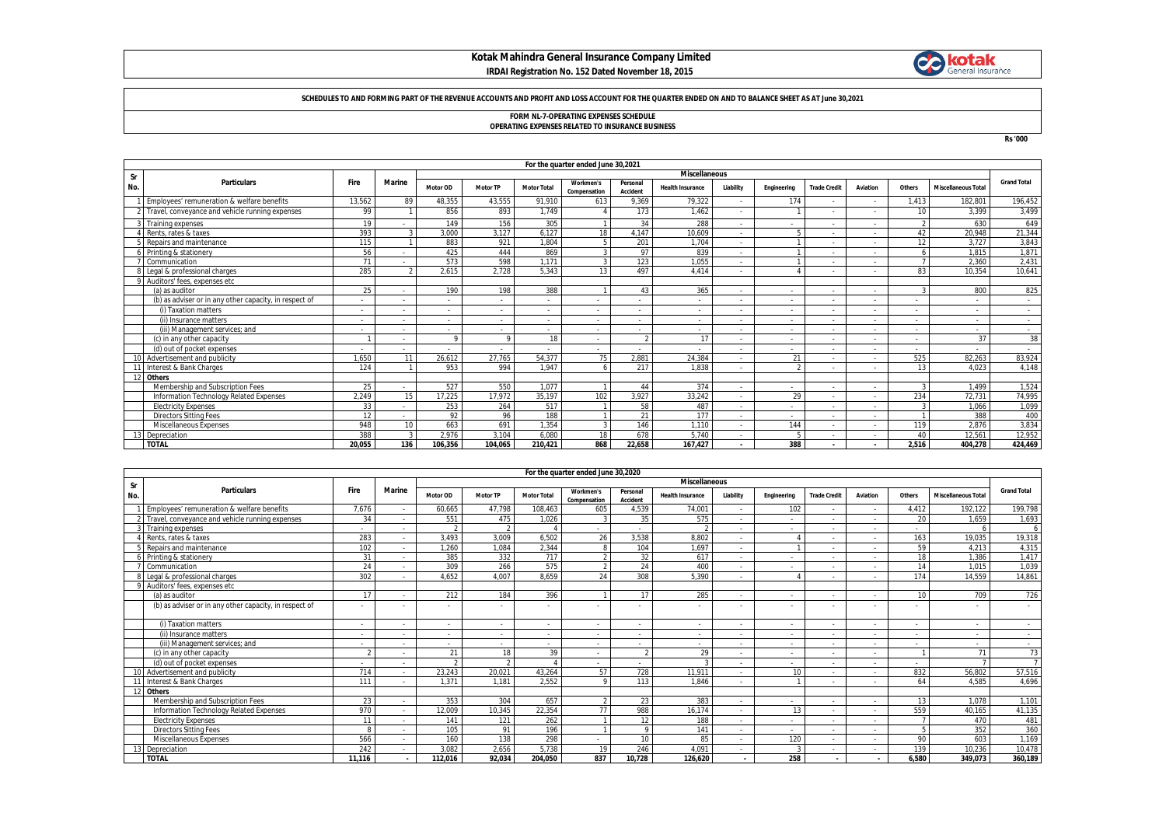## **Kotak Mahindra General Insurance Company Limited IRDAI Registration No. 152 Dated November 18, 2015**



#### **SCHEDULES TO AND FORMING PART OF THE REVENUE ACCOUNTS AND PROFIT AND LOSS ACCOUNT FOR THE QUARTER ENDED ON AND TO BALANCE SHEET AS AT June 30,2021**

# **FORM NL-7-OPERATING EXPENSES SCHEDULE OPERATING EXPENSES RELATED TO INSURANCE BUSINESS**

**Rs '000**

|                            | For the quarter ended June 30,2021                     |        |                          |          |                          |                    |                           |                          |                          |                          |             |                          |                          |        |                            |                    |
|----------------------------|--------------------------------------------------------|--------|--------------------------|----------|--------------------------|--------------------|---------------------------|--------------------------|--------------------------|--------------------------|-------------|--------------------------|--------------------------|--------|----------------------------|--------------------|
| <b>Miscellaneous</b><br>Sr |                                                        |        |                          |          |                          |                    |                           |                          |                          |                          |             |                          |                          |        |                            |                    |
| No.                        | <b>Particulars</b>                                     | Fire   | Marine                   | Motor OD | <b>Motor TP</b>          | <b>Motor Total</b> | Workmen's<br>Compensation | Personal<br>Accident     | <b>Health Insurance</b>  | Liability                | Engineering | <b>Trade Credit</b>      | Aviation                 | Others | <b>Miscellaneous Total</b> | <b>Grand Total</b> |
|                            | Employees' remuneration & welfare benefits             | 13,562 | 89                       | 48,355   | 43,555                   | 91,910             | 613                       | 9,369                    | 79,322                   | $\sim$                   | 174         | $\overline{\phantom{a}}$ | .                        | 1,413  | 182,801                    | 196,452            |
|                            | 2 Travel, conveyance and vehicle running expenses      | 99     |                          | 856      | 893                      | 1.749              |                           | 173                      | 1.462                    | $\overline{\phantom{a}}$ |             |                          |                          | 10     | 3.399                      | 3,499              |
|                            | 3 Training expenses                                    | 19     |                          | 149      | 156                      | 305                |                           | 34                       | 288                      | $\overline{\phantom{a}}$ |             | $\overline{\phantom{a}}$ | $\overline{\phantom{a}}$ |        | 630                        | 649                |
|                            | Rents, rates & taxes                                   | 393    | 3                        | 3,000    | 3.127                    | 6.127              | 18                        | 4.147                    | 10,609                   | $\overline{\phantom{a}}$ |             |                          |                          | 42     | 20,948                     | 21,344             |
|                            | Repairs and maintenance                                | 115    |                          | 883      | 921                      | 1.804              |                           | 201                      | 1.704                    | $\overline{\phantom{a}}$ |             |                          | .                        | 12     | 3.727                      | 3,843              |
|                            | Printing & stationery                                  | 56     |                          | 425      | 444                      | 869                |                           | 97                       | 839                      | $\sim$                   |             |                          |                          |        | 1.815                      | 1,871              |
|                            | Communication                                          | 71     |                          | 573      | 598                      | 1.171              |                           | 123                      | 1.055                    | $\overline{\phantom{a}}$ |             |                          | .                        |        | 2.360                      | 2,431              |
|                            | Legal & professional charges                           | 285    |                          | 2,615    | 2.728                    | 5.343              | 13                        | 497                      | 4.414                    | $\sim$                   |             |                          |                          | 83     | 10.354                     | 10,641             |
|                            | 9 Auditors' fees, expenses etc.                        |        |                          |          |                          |                    |                           |                          |                          |                          |             |                          |                          |        |                            |                    |
|                            | (a) as auditor                                         | 25     |                          | 190      | 198                      | 388                |                           | 43                       | 365                      | $\sim$                   |             |                          | .                        | n      | 800                        | 825                |
|                            | (b) as adviser or in any other capacity, in respect of |        |                          |          |                          |                    |                           | ۰.                       |                          | ۰.                       |             |                          |                          |        |                            |                    |
|                            | (i) Taxation matters                                   | . .    |                          |          | $\overline{\phantom{0}}$ |                    |                           | $\overline{\phantom{0}}$ |                          | $\overline{\phantom{a}}$ |             |                          | $\overline{\phantom{a}}$ |        | $\overline{a}$             |                    |
|                            | (ii) Insurance matters                                 | . .    | $\overline{\phantom{0}}$ |          | $\overline{\phantom{0}}$ |                    |                           | $\sim$                   | $\overline{\phantom{a}}$ | $\sim$                   |             | $\overline{\phantom{a}}$ | .                        |        | $\overline{\phantom{a}}$   | $\sim$             |
|                            | (iii) Management services; and                         |        |                          |          |                          |                    |                           |                          |                          | ۰.                       |             |                          | .                        |        |                            |                    |
|                            | (c) in any other capacity                              |        |                          | $\Omega$ | $\Omega$                 | 18                 |                           | $\sqrt{2}$               | 17                       | $\overline{\phantom{a}}$ |             | $\overline{\phantom{a}}$ | .                        |        | 37                         | 38                 |
|                            | (d) out of pocket expenses                             |        |                          |          |                          |                    |                           |                          |                          | $\sim$                   |             |                          |                          |        |                            | $\sim$             |
|                            | 10 Advertisement and publicity                         | 1.650  | 11                       | 26,612   | 27.765                   | 54,377             | 75                        | 2.881                    | 24.384                   | ٠                        | 21          |                          |                          | 525    | 82,263                     | 83,924             |
|                            | Interest & Bank Charges                                | 124    |                          | 953      | 994                      | 1.947              |                           | 217                      | 1.838                    | ۰.                       |             |                          |                          | 13     | 4.023                      | 4,148              |
|                            | 12 Others                                              |        |                          |          |                          |                    |                           |                          |                          |                          |             |                          |                          |        |                            |                    |
|                            | Membership and Subscription Fees                       | 25     | $\overline{\phantom{a}}$ | 527      | 550                      | 1.077              |                           | 44                       | 374                      | $\sim$                   |             | $\overline{\phantom{a}}$ | .                        | n      | 1.499                      | 1,524              |
|                            | Information Technology Related Expenses                | 2.249  | 15                       | 17.225   | 17.972                   | 35,197             | 102                       | 3.927                    | 33,242                   | $\overline{\phantom{a}}$ | 29          |                          |                          | 234    | 72,731                     | 74,995             |
|                            | <b>Electricity Expenses</b>                            | 33     |                          | 253      | 264                      | 517                |                           | 58                       | 487                      | $\sim$                   |             |                          | .                        |        | 1.066                      | 1,099              |
|                            | <b>Directors Sitting Fees</b>                          | 12     |                          | 92       | 96                       | 188                |                           | 21                       | 177                      | $\overline{\phantom{a}}$ |             | $\overline{\phantom{a}}$ | .                        |        | 388                        | 400                |
|                            | Miscellaneous Expenses                                 | 948    | 10 <sup>10</sup>         | 663      | 691                      | 1.354              |                           | 146                      | 1.110                    | $\sim$                   | 144         |                          | .                        | 119    | 2.876                      | 3,834              |
|                            | 3 Depreciation                                         | 388    | $\mathbf{3}$             | 2.976    | 3.104                    | 6.080              | 18                        | 678                      | 5.740                    | $\overline{\phantom{a}}$ |             |                          |                          | 40     | 12,561                     | 12,952             |
|                            | <b>TOTAL</b>                                           | 20.055 | 136                      | 106.356  | 104.065                  | 210.421            | 868                       | 22.658                   | 167.427                  | $\overline{\phantom{a}}$ | 388         |                          |                          | 2.516  | 404.278                    | 424.469            |

|     | For the quarter ended June 30,2020                     |                          |               |                          |                 |                          |                           |                      |                          |                          |                          |                          |                          |                          |                            |                          |
|-----|--------------------------------------------------------|--------------------------|---------------|--------------------------|-----------------|--------------------------|---------------------------|----------------------|--------------------------|--------------------------|--------------------------|--------------------------|--------------------------|--------------------------|----------------------------|--------------------------|
| Sr  |                                                        |                          |               | <b>Miscellaneous</b>     |                 |                          |                           |                      |                          |                          |                          |                          |                          |                          |                            |                          |
| No. | <b>Particulars</b>                                     | <b>Fire</b>              | <b>Marine</b> | Motor OD                 | <b>Motor TP</b> | <b>Motor Total</b>       | Workmen's<br>Compensation | Personal<br>Accident | <b>Health Insurance</b>  | Liability                | Engineering              | <b>Trade Credit</b>      | Aviation                 | Others                   | <b>Miscellaneous Total</b> | <b>Grand Total</b>       |
|     | Employees' remuneration & welfare benefits             | 7.676                    |               | 60.665                   | 47.798          | 108.463                  | 605                       | 4,539                | 74.00                    | $\sim$                   | 102                      |                          | $\overline{\phantom{a}}$ | 4.412                    | 192.122                    | 199,798                  |
|     | 2 Travel, conveyance and vehicle running expenses      | 34                       |               | 551                      | 475             | 1.026                    | $\mathcal{L}$             | 35                   | 575                      |                          | $\sim$                   |                          |                          | 20                       | 1.659                      | 1,693                    |
|     | Training expenses                                      | $\overline{\phantom{a}}$ |               |                          | $\Omega$        |                          |                           |                      |                          |                          | $\sim$                   |                          | $\sim$                   | $\sim$                   |                            |                          |
|     | Rents, rates & taxes                                   | 283                      |               | 3.493                    | 3.009           | 6.502                    | 26                        | 3.538                | 8.802                    | $\sim$                   |                          |                          |                          | 163                      | 19.035                     | 19,318                   |
|     | Repairs and maintenance                                | 102                      |               | 1,260                    | 1,084           | 2,344                    | 8                         | 104                  | 1,697                    | $\sim$                   |                          |                          |                          | 59                       | 4,213                      | 4,315                    |
|     | Printing & stationery                                  | 31                       |               | 385                      | 332             | 717                      | $\mathcal{D}$             | 32                   | 617                      | .                        | $\sim$                   |                          |                          | 18                       | 1.386                      | 1.417                    |
|     | Communication                                          | 24                       |               | 309                      | 266             | 575                      | $\Omega$                  | 24                   | 400                      | $\sim$                   | $\sim$                   |                          | $\overline{\phantom{a}}$ | 14                       | 1.015                      | 1,039                    |
|     | Legal & professional charges                           | 302                      |               | 4.652                    | 4.007           | 8.659                    | 24                        | 308                  | 5.390                    | $\sim$                   |                          |                          |                          | 174                      | 14.559                     | 14.861                   |
|     | Auditors' fees, expenses etc.                          |                          |               |                          |                 |                          |                           |                      |                          |                          |                          |                          |                          |                          |                            |                          |
|     | (a) as auditor                                         | 17                       |               | 212                      | 184             | 396                      |                           | 17                   | 285                      | $\overline{\phantom{a}}$ | $\sim$                   |                          |                          | 10                       | 709                        | 726                      |
|     | (b) as adviser or in any other capacity, in respect of |                          |               |                          |                 |                          |                           |                      |                          |                          |                          |                          |                          |                          |                            |                          |
|     | (i) Taxation matters                                   | $\overline{\phantom{a}}$ |               | $\sim$                   |                 | $\sim$                   | $\overline{\phantom{a}}$  |                      |                          | $\sim$                   | $\sim$                   |                          |                          | $\sim$                   | $\sim$                     | $\sim$                   |
|     | (ii) Insurance matters                                 | $\overline{\phantom{a}}$ |               | $\overline{\phantom{a}}$ |                 | $\overline{\phantom{a}}$ | $\sim$                    | $\sim$               |                          | ۰.                       | $\sim$                   |                          |                          | $\sim$                   | $\overline{\phantom{a}}$   | $\overline{\phantom{a}}$ |
|     | (iii) Management services: and                         | $\overline{\phantom{a}}$ |               | ٠                        |                 | $\overline{\phantom{a}}$ | $\sim$                    | $\sim$               | $\overline{\phantom{a}}$ | $\sim$                   | $\overline{\phantom{a}}$ |                          |                          | .                        | $\sim$                     | $\sim$                   |
|     | (c) in any other capacity                              |                          |               | 21                       | 18              | 39                       | $\overline{\phantom{a}}$  | $\mathfrak{D}$       | 29                       |                          | $\sim$                   |                          |                          |                          | 71                         | 73                       |
|     | (d) out of pocket expenses                             |                          |               |                          |                 |                          |                           |                      |                          | $\overline{\phantom{a}}$ | $\sim$                   |                          |                          | $\overline{\phantom{a}}$ |                            |                          |
|     | 10 Advertisement and publicity                         | 714                      |               | 23.243                   | 20,021          | 43,264                   | 57                        | 728                  | 11.911                   | $\sim$                   | 10                       |                          |                          | 832                      | 56.802                     | 57,516                   |
|     | Interest & Bank Charges                                | 111                      |               | 1.371                    | 1.181           | 2.552                    | $\circ$                   | 113                  | 1.846                    | $\sim$                   |                          |                          |                          | 64                       | 4.585                      | 4.696                    |
| 12  | <b>Others</b>                                          |                          |               |                          |                 |                          |                           |                      |                          |                          |                          |                          |                          |                          |                            |                          |
|     | Membership and Subscription Fees                       | 23                       |               | 353                      | 304             | 657                      | $\mathcal{P}$             | 23                   | 383                      |                          | $\overline{\phantom{a}}$ |                          | $\overline{\phantom{a}}$ | 13                       | 1.078                      | 1,101                    |
|     | Information Technology Related Expenses                | 970                      |               | 12,009                   | 10,345          | 22,354                   | 77                        | 988                  | 16,174                   |                          | 13                       |                          |                          | 559                      | 40.165                     | 41,135                   |
|     | <b>Electricity Expenses</b>                            |                          |               | 141                      | 121             | 262                      |                           | 12                   | 188                      | $\overline{\phantom{a}}$ | $\sim$                   |                          |                          |                          | 470                        | 481                      |
|     | <b>Directors Sitting Fees</b>                          |                          |               | 105                      | 91              | 196                      |                           | Q                    | 141                      | $\overline{\phantom{a}}$ | $\sim$                   |                          |                          |                          | 352                        | 360                      |
|     | Miscellaneous Expenses                                 | 566                      |               | 160                      | 138             | 298                      | $\sim$                    | 10                   | 85                       | $\sim$                   | 120                      |                          |                          | 90                       | 603                        | 1,169                    |
|     | Depreciation                                           | 242                      |               | 3.082                    | 2.656           | 5.738                    | 19                        | 246                  | 4.091                    | $\sim$                   |                          |                          | $\overline{\phantom{a}}$ | 139                      | 10.236                     | 10,478                   |
|     | <b>TOTAL</b>                                           | 11.116                   |               | 112,016                  | 92,034          | 204,050                  | 837                       | 10,728               | 126.620                  | $\sim$                   | 258                      | $\overline{\phantom{a}}$ | . .                      | 6,580                    | 349,073                    | 360,189                  |